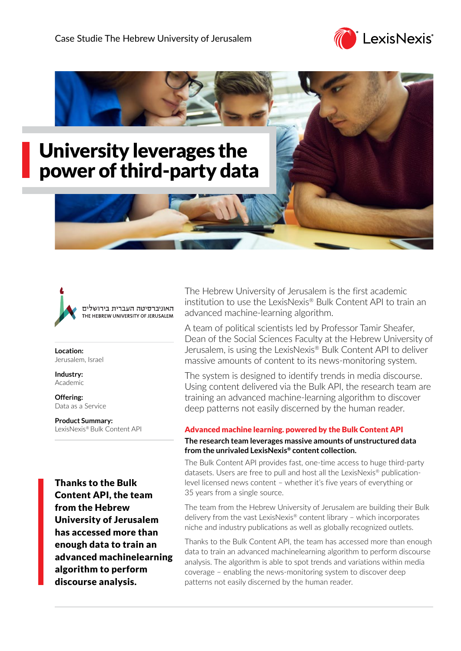





**Location:** Jerusalem, Israel

**Industry:** Academic

**Offering:** Data as a Service

**Product Summary:** LexisNexis® Bulk Content API

Thanks to the Bulk Content API, the team from the Hebrew University of Jerusalem has accessed more than enough data to train an advanced machinelearning algorithm to perform discourse analysis.

The Hebrew University of Jerusalem is the first academic institution to use the LexisNexis® Bulk Content API to train an advanced machine-learning algorithm.

A team of political scientists led by Professor Tamir Sheafer, Dean of the Social Sciences Faculty at the Hebrew University of Jerusalem, is using the LexisNexis® Bulk Content API to deliver massive amounts of content to its news-monitoring system.

The system is designed to identify trends in media discourse. Using content delivered via the Bulk API, the research team are training an advanced machine-learning algorithm to discover deep patterns not easily discerned by the human reader.

## Advanced machine learning. powered by the Bulk Content API **The research team leverages massive amounts of unstructured data from the unrivaled LexisNexis® content collection.**

The Bulk Content API provides fast, one-time access to huge third-party datasets. Users are free to pull and host all the LexisNexis® publicationlevel licensed news content – whether it's five years of everything or 35 years from a single source.

The team from the Hebrew University of Jerusalem are building their Bulk delivery from the vast LexisNexis® content library – which incorporates niche and industry publications as well as globally recognized outlets.

Thanks to the Bulk Content API, the team has accessed more than enough data to train an advanced machinelearning algorithm to perform discourse analysis. The algorithm is able to spot trends and variations within media coverage – enabling the news-monitoring system to discover deep patterns not easily discerned by the human reader.